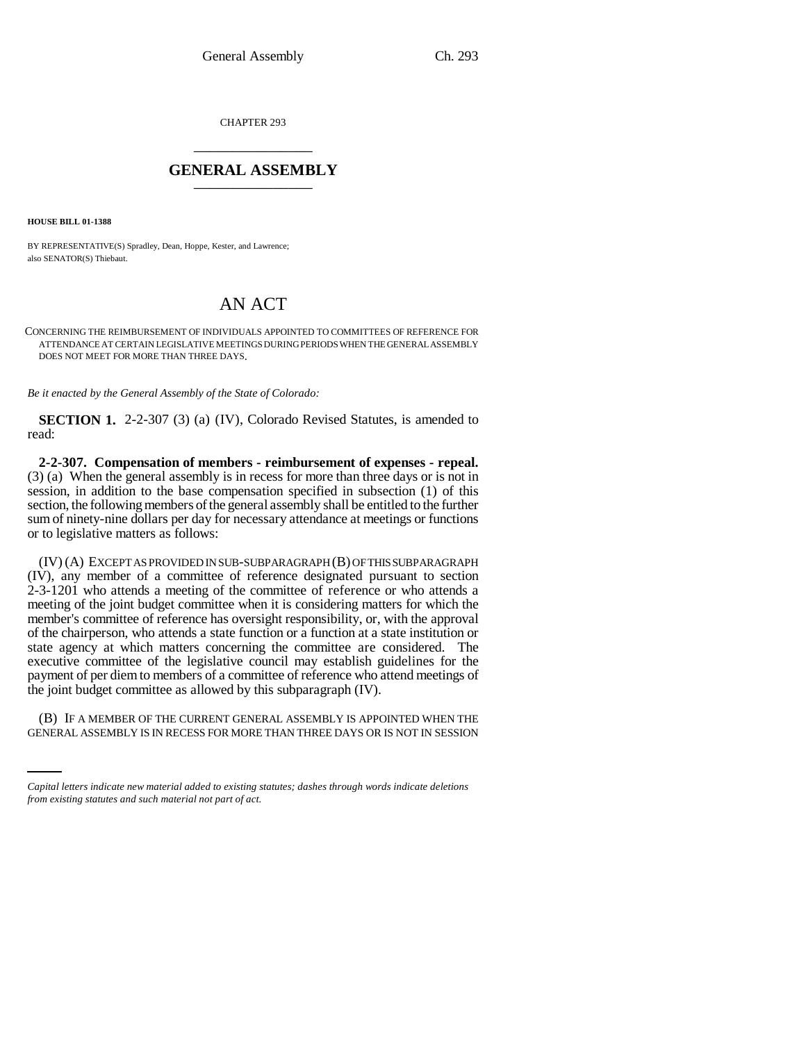CHAPTER 293 \_\_\_\_\_\_\_\_\_\_\_\_\_\_\_

## **GENERAL ASSEMBLY** \_\_\_\_\_\_\_\_\_\_\_\_\_\_\_

**HOUSE BILL 01-1388**

 $\mathcal{L}$ 

BY REPRESENTATIVE(S) Spradley, Dean, Hoppe, Kester, and Lawrence; also SENATOR(S) Thiebaut.

## AN ACT

CONCERNING THE REIMBURSEMENT OF INDIVIDUALS APPOINTED TO COMMITTEES OF REFERENCE FOR ATTENDANCE AT CERTAIN LEGISLATIVE MEETINGS DURING PERIODS WHEN THE GENERAL ASSEMBLY DOES NOT MEET FOR MORE THAN THREE DAYS.

*Be it enacted by the General Assembly of the State of Colorado:*

**SECTION 1.** 2-2-307 (3) (a) (IV), Colorado Revised Statutes, is amended to read:

**2-2-307. Compensation of members - reimbursement of expenses - repeal.** (3) (a) When the general assembly is in recess for more than three days or is not in session, in addition to the base compensation specified in subsection (1) of this section, the following members of the general assembly shall be entitled to the further sum of ninety-nine dollars per day for necessary attendance at meetings or functions or to legislative matters as follows:

(IV) (A) EXCEPT AS PROVIDED IN SUB-SUBPARAGRAPH (B) OF THIS SUBPARAGRAPH (IV), any member of a committee of reference designated pursuant to section 2-3-1201 who attends a meeting of the committee of reference or who attends a meeting of the joint budget committee when it is considering matters for which the member's committee of reference has oversight responsibility, or, with the approval of the chairperson, who attends a state function or a function at a state institution or state agency at which matters concerning the committee are considered. The executive committee of the legislative council may establish guidelines for the payment of per diem to members of a committee of reference who attend meetings of the joint budget committee as allowed by this subparagraph (IV).

(B) IF A MEMBER OF THE CURRENT GENERAL ASSEMBLY IS APPOINTED WHEN THE GENERAL ASSEMBLY IS IN RECESS FOR MORE THAN THREE DAYS OR IS NOT IN SESSION

*Capital letters indicate new material added to existing statutes; dashes through words indicate deletions from existing statutes and such material not part of act.*